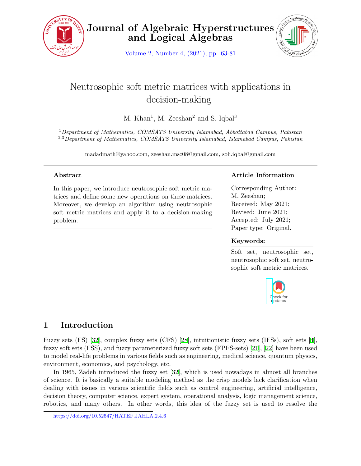

Volume 2, Number 4, (2021), pp. 63-81



# Neutrosophic soft metric matrices with applications in decision-making

M. Khan<sup>1</sup>, M. Zeeshan<sup>2</sup> and S. Iqbal<sup>3</sup>

<sup>1</sup>*Department of Mathematics, COMSATS University Islamabad, Abbottabad Campus, Pakistan* 2,3*Department of Mathematics, COMSATS University Islamabad, Islamabad Campus, Pakistan*

madadmath@yahoo.com, zeeshan.msc08@gmail.com, soh.iqbal@gmail.com

### **Abstract**

In this paper, we introduce neutrosophic soft metric matrices and define some new operations on these matrices. Moreover, we develop an algorithm using neutrosophic soft metric matrices and apply it to a decision-making problem.

### **Article Information**

Corresponding Author: M. Zeeshan; Received: May 2021; Revised: June 2021; Accepted: July 2021; Paper type: Original.

### **Keywords:**

Soft set, neutrosophic set, neutrosophic soft set, neutrosophic soft metric matrices.



## **1 Introduction**

Fuzzy sets (FS) [[32\]](#page-18-0), complex fuzzy sets (CFS) [\[28](#page-17-0)], intuitionistic fuzzy sets (IFSs), soft sets [[4](#page-16-0)], fuzzy soft sets (FSS), and fuzzy parameterized fuzzy soft sets (FPFS-sets) [[21](#page-17-1)], [\[22](#page-17-2)] have been used to model real-life problems in various fields such as engineering, medical science, quantum physics, environment, economics, and psychology, etc.

In 1965, Zadeh introduced the fuzzy set [[32\]](#page-18-0), which is used nowadays in almost all branches of science. It is basically a suitable modeling method as the crisp models lack clarification when dealing with issues in various scientific fields such as control engineering, artificial intelligence, decision theory, computer science, expert system, operational analysis, logic management science, robotics, and many others. In other words, this idea of the fuzzy set is used to resolve the

https://doi.org/10.52547/HATEF.JAHLA.2.4.6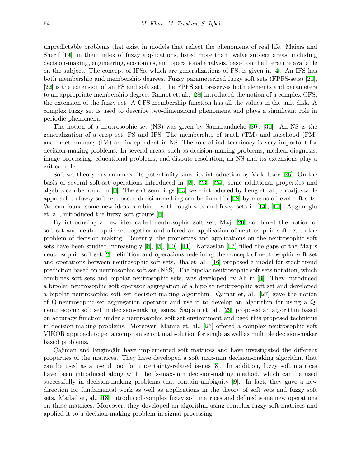unpredictable problems that exist in models that reflect the phenomena of real life. Maiers and Sherif [[19](#page-17-3)], in their index of fuzzy applications, listed more than twelve subject areas, including decision-making, engineering, economics, and operational analysis, based on the literature available on the subject. The concept of IFSs, which are generalizations of FS, is given in [[4](#page-16-0)]. An IFS has both membership and membership degrees. Fuzzy parameterized fuzzy soft sets (FPFS-sets) [[21](#page-17-1)], [[22\]](#page-17-2) is the extension of an FS and soft set. The FPFS set preserves both elements and parameters to an appropriate membership degree. Ramot et, al., [\[28](#page-17-0)] introduced the notion of a complex CFS, the extension of the fuzzy set. A CFS membership function has all the values in the unit disk. A complex fuzzy set is used to describe two-dimensional phenomena and plays a significant role in periodic phenomena.

The notion of a neutrosophic set (NS) was given by Samarandache [[30](#page-17-4)], [[31\]](#page-18-1). An NS is the generalization of a crisp set, FS and IFS. The membership of truth (TM) and falsehood (FM) and indeterminacy (IM) are independent in NS. The role of indeterminacy is very important for decision-making problems. In several areas, such as decision-making problems, medical diagnosis, image processing, educational problems, and dispute resolution, an NS and its extensions play a critical role.

Soft set theory has enhanced its potentiality since its introduction by Molodtsov [[26\]](#page-17-5). On the basis of several soft-set operations introduced in [\[2\]](#page-16-1), [\[23](#page-17-6)], [\[24](#page-17-7)], some additional properties and algebra can be found in [\[1\]](#page-16-2). The soft semirings [[13\]](#page-17-8) were introduced by Feng et, al., an adjustable approach to fuzzy soft sets-based decision making can be found in [[12](#page-16-3)] by means of level soft sets. We can found some new ideas combined with rough sets and fuzzy sets in [\[14](#page-17-9)], [[15](#page-17-10)]. Aygunoglu et, al., introduced the fuzzy soft groups [[5](#page-16-4)].

By introducing a new idea called neutrosophic soft set, Maji [[20](#page-17-11)] combined the notion of soft set and neutrosophic set together and offered an application of neutrosophic soft set to the problem of decision making. Recently, the properties and applications on the neutrosophic soft sets have been studied increasingly [[6](#page-16-5)], [\[7\]](#page-16-6), [[10\]](#page-16-7), [[11\]](#page-16-8). Karaaslan [\[17](#page-17-12)] filled the gaps of the Maji's neutrosophic soft set [[2](#page-16-1)] definition and operations redefining the concept of neutrosophic soft set and operations between neutrosophic soft sets. Jha et, al., [[16](#page-17-13)] proposed a model for stock trend prediction based on neutrosophic soft set (NSS). The bipolar neutrosophic soft sets notation, which combines soft sets and bipolar neutrosophic sets, was developed by Ali in [[3](#page-16-9)]. They introduced a bipolar neutrosophic soft operator aggregation of a bipolar neutrosophic soft set and developed a bipolar neutrosophic soft set decision-making algorithm. Qamar et, al., [[27\]](#page-17-14) gave the notion of Q-neutrosophic-set aggregation operator and use it to develop an algorithm for using a Qneutrosophic soft set in decision-making issues. Saqlain et, al., [[29\]](#page-17-15) proposed an algorithm based on accuracy function under a neutrosophic soft set environment and used this proposed technique in decision-making problems. Moreover, Manna et, al., [\[25](#page-17-16)] offered a complex neutrosophic soft VIKOR approach to get a compromise optimal solution for single as well as multiple decision-maker based problems.

Cağman and Enginoğlu have implemented soft matrices and have investigated the different properties of the matrices. They have developed a soft max-min decision-making algorithm that can be used as a useful tool for uncertainty-related issues [[8](#page-16-10)]. In addition, fuzzy soft matrices have been introduced along with the fs-max-min decision-making method, which can be used successfully in decision-making problems that contain ambiguity [\[9\]](#page-16-11). In fact, they gave a new direction for fundamental work as well as applications in the theory of soft sets and fuzzy soft sets. Madad et, al., [[18\]](#page-17-17) introduced complex fuzzy soft matrices and defined some new operations on these matrices. Moreover, they developed an algorithm using complex fuzzy soft matrices and applied it to a decision-making problem in signal processing.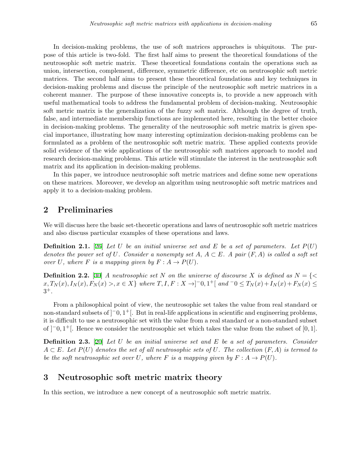In decision-making problems, the use of soft matrices approaches is ubiquitous. The purpose of this article is two-fold. The first half aims to present the theoretical foundations of the neutrosophic soft metric matrix. These theoretical foundations contain the operations such as union, intersection, complement, difference, symmetric difference, etc on neutrosophic soft metric matrices. The second half aims to present these theoretical foundations and key techniques in decision-making problems and discuss the principle of the neutrosophic soft metric matrices in a coherent manner. The purpose of these innovative concepts is, to provide a new approach with useful mathematical tools to address the fundamental problem of decision-making. Neutrosophic soft metric matrix is the generalization of the fuzzy soft matrix. Although the degree of truth, false, and intermediate membership functions are implemented here, resulting in the better choice in decision-making problems. The generality of the neutrosophic soft metric matrix is given special importance, illustrating how many interesting optimization decision-making problems can be formulated as a problem of the neutrosophic soft metric matrix. These applied contexts provide solid evidence of the wide applications of the neutrosophic soft matrices approach to model and research decision-making problems. This article will stimulate the interest in the neutrosophic soft matrix and its application in decision-making problems.

In this paper, we introduce neutrosophic soft metric matrices and define some new operations on these matrices. Moreover, we develop an algorithm using neutrosophic soft metric matrices and apply it to a decision-making problem.

### **2 Preliminaries**

We will discuss here the basic set-theoretic operations and laws of neutrosophic soft metric matrices and also discuss particular examples of these operations and laws.

**Definition 2.1.** [\[26](#page-17-5)] *Let U be an initial universe set and E be a set of parameters. Let P*(*U*) *denotes the power set of*  $U$ *. Consider a nonempty set*  $A, A \subset E$ *. A pair*  $(F, A)$  *is called a soft set over*  $U$ *, where*  $F$  *is a mapping given by*  $F : A \rightarrow P(U)$ *.* 

**Definition 2.2.** [\[30\]](#page-17-4) *A neutrosophic set N on the universe of discourse X is defined as*  $N = \{ \langle \rangle$  $x, T_N(x), I_N(x), F_N(x) > x \in X$  where  $T, I, F: X \to ]-0, 1^+[$  and  $-0 \le T_N(x) + I_N(x) + F_N(x) \le$ 3 +*.*

From a philosophical point of view, the neutrosophic set takes the value from real standard or non-standard subsets of ]*−*0*,* 1 <sup>+</sup>[. But in real-life applications in scientific and engineering problems, it is difficult to use a neutrosophic set with the value from a real standard or a non-standard subset of ]*−*0*,* 1 <sup>+</sup>[. Hence we consider the neutrosophic set which takes the value from the subset of [0*,* 1].

**Definition 2.3.** [[20\]](#page-17-11) *Let U be an initial universe set and E be a set of parameters. Consider A ⊂ E. Let P*(*U*) *denotes the set of all neutrosophic sets of U. The collection* (*F, A*) *is termed to be the soft neutrosophic set over*  $U$ *, where*  $F$  *is a mapping given by*  $F: A \rightarrow P(U)$ *.* 

### **3 Neutrosophic soft metric matrix theory**

In this section, we introduce a new concept of a neutrosophic soft metric matrix.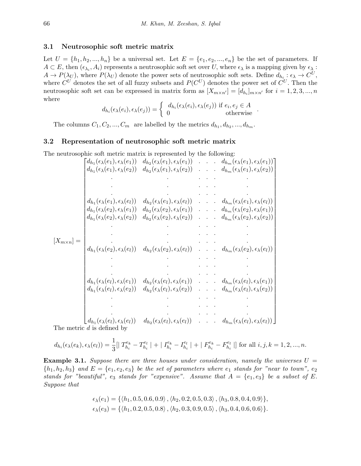#### **3.1 Neutrosophic soft metric matrix**

Let  $U = \{h_1, h_2, ..., h_n\}$  be a universal set. Let  $E = \{e_1, e_2, ..., e_n\}$  be the set of parameters. If  $A \subset E$ , then  $(\epsilon_{\lambda_i}, A_i)$  represents a neutrosophic soft set over *U*, where  $\epsilon_{\lambda}$  is a mapping given by  $\epsilon_{\lambda}$ :  $A \to P(\lambda_U)$ , where  $P(\lambda_U)$  denote the power sets of neutrosophic soft sets. Define  $d_{h_i}: \epsilon_{\lambda} \to C^U$ , where  $C^U$  denotes the set of all fuzzy subsets and  $P(C^U)$  denotes the power set of  $C^U$ . Then the neutrosophic soft set can be expressed in matrix form as  $[X_{m \times n'}] = [d_{h_i}]_{m \times n'}$  for  $i = 1, 2, 3, ..., n$ where

$$
d_{h_i}(\epsilon_\lambda(e_i), \epsilon_\lambda(e_j)) = \begin{cases} d_{h_i}(\epsilon_\lambda(e_i), \epsilon_\lambda(e_j)) & \text{if } e_i, e_j \in A \\ 0 & \text{otherwise} \end{cases}.
$$

The columns  $C_1, C_2, ..., C_m$  are labelled by the metrics  $d_{h_1}, d_{h_2}, ..., d_{h_m}$ .

#### **3.2 Representation of neutrosophic soft metric matrix**

The neutrosophic soft metric matrix is represented by the following:

|                      | $\mathsf{d}_{h_1}(\epsilon_\lambda(e_1),\epsilon_\lambda(e_1))$<br>$d_{h_1}(\epsilon_{\lambda}(e_1), \epsilon_{\lambda}(e_2))$ |                                                                                                                                                                                                 |  | $d_{h_2}(\epsilon_{\lambda}(e_1), \epsilon_{\lambda}(e_1))$ $d_{h_m}(\epsilon_{\lambda}(e_1), \epsilon_{\lambda}(e_1))$<br>$d_{h_2}(\epsilon_{\lambda}(e_1), \epsilon_{\lambda}(e_2))$ $d_{h_m}(\epsilon_{\lambda}(e_1), \epsilon_{\lambda}(e_2))$ |
|----------------------|--------------------------------------------------------------------------------------------------------------------------------|-------------------------------------------------------------------------------------------------------------------------------------------------------------------------------------------------|--|----------------------------------------------------------------------------------------------------------------------------------------------------------------------------------------------------------------------------------------------------|
|                      |                                                                                                                                |                                                                                                                                                                                                 |  |                                                                                                                                                                                                                                                    |
| $[X_{m \times n}] =$ |                                                                                                                                |                                                                                                                                                                                                 |  |                                                                                                                                                                                                                                                    |
|                      | $d_{h_1}(\epsilon_{\lambda}(e_1), \epsilon_{\lambda}(e_l))$<br>$d_{h_1}(\epsilon_{\lambda}(e_2),\epsilon_{\lambda}(e_1))$      |                                                                                                                                                                                                 |  | $d_{h_2}(\epsilon_{\lambda}(e_1), \epsilon_{\lambda}(e_l))$ $d_{h_m}(\epsilon_{\lambda}(e_1), \epsilon_{\lambda}(e_l))$<br>$d_{h_2}(\epsilon_\lambda(e_2),\epsilon_\lambda(e_1))$ $d_{h_m}(\epsilon_\lambda(e_2),\epsilon_\lambda(e_1))$           |
|                      | $d_{h_1}(\epsilon_\lambda(e_2),\epsilon_\lambda(e_2))$                                                                         |                                                                                                                                                                                                 |  | $d_{h_2}(\epsilon_\lambda(e_2), \epsilon_\lambda(e_2))$ $d_{h_m}(\epsilon_\lambda(e_2), \epsilon_\lambda(e_2))$                                                                                                                                    |
|                      |                                                                                                                                |                                                                                                                                                                                                 |  |                                                                                                                                                                                                                                                    |
|                      |                                                                                                                                |                                                                                                                                                                                                 |  |                                                                                                                                                                                                                                                    |
|                      |                                                                                                                                | $d_{h_1}(\epsilon_{\lambda}(e_2), \epsilon_{\lambda}(e_l)) \ d_{h_2}(\epsilon_{\lambda}(e_2), \epsilon_{\lambda}(e_l)) \ldots \ldots d_{h_m}(\epsilon_{\lambda}(e_2), \epsilon_{\lambda}(e_l))$ |  |                                                                                                                                                                                                                                                    |
|                      |                                                                                                                                |                                                                                                                                                                                                 |  |                                                                                                                                                                                                                                                    |
|                      |                                                                                                                                |                                                                                                                                                                                                 |  |                                                                                                                                                                                                                                                    |
|                      | $d_{h_1}(\epsilon_{\lambda}(e_l),\epsilon_{\lambda}(e_1))$<br>$d_{h_1}(\epsilon_\lambda(e_l),\epsilon_\lambda(e_2))$           |                                                                                                                                                                                                 |  | $d_{h_2}(\epsilon_{\lambda}(e_l), \epsilon_{\lambda}(e_1))$ $d_{h_m}(\epsilon_{\lambda}(e_l), \epsilon_{\lambda}(e_1))$<br>$d_{h_2}(\epsilon_\lambda(e_l),\epsilon_\lambda(e_2))$ $d_{h_m}(\epsilon_\lambda(e_l),\epsilon_\lambda(e_2))$           |
|                      |                                                                                                                                |                                                                                                                                                                                                 |  |                                                                                                                                                                                                                                                    |
|                      |                                                                                                                                |                                                                                                                                                                                                 |  |                                                                                                                                                                                                                                                    |
|                      | $(d_{h_1}(\epsilon_\lambda(e_l),\epsilon_\lambda(e_l))$                                                                        |                                                                                                                                                                                                 |  | $d_{h_2}(\epsilon_{\lambda}(e_l),\epsilon_{\lambda}(e_l))$ $d_{h_m}(\epsilon_{\lambda}(e_l),\epsilon_{\lambda}(e_l))$                                                                                                                              |

The metric *d* is defined by

$$
d_{h_i}(\epsilon_\lambda(e_k), \epsilon_\lambda(e_l)) = \frac{1}{3} [T_{h_i}^{e_k} - T_{h_i}^{e_l} | + | I_{h_i}^{e_k} - I_{h_i}^{e_l} | + | F_{h_i}^{e_k} - F_{h_i}^{e_l} | ]
$$
 for all  $i, j, k = 1, 2, ..., n$ .

**Example 3.1.** Suppose there are three houses under consideration, namely the universes  $U =$  ${h_1, h_2, h_3}$  *and*  $E = {e_1, e_2, e_3}$  *be the set of parameters where*  $e_1$  *stands for "near to town",*  $e_2$ *stands for "beautiful", e<sub>3</sub> <i>stands for "expensive".* Assume that  $A = \{e_1, e_3\}$  be a subset of E. *Suppose that*

$$
\epsilon_{\lambda}(e_1) = \{ \langle h_1, 0.5, 0.6, 0.9 \rangle, \langle h_2, 0.2, 0.5, 0.3 \rangle, \langle h_3, 0.8, 0.4, 0.9 \rangle \},
$$
  

$$
\epsilon_{\lambda}(e_3) = \{ \langle h_1, 0.2, 0.5, 0.8 \rangle, \langle h_2, 0.3, 0.9, 0.5 \rangle, \langle h_3, 0.4, 0.6, 0.6 \rangle \}.
$$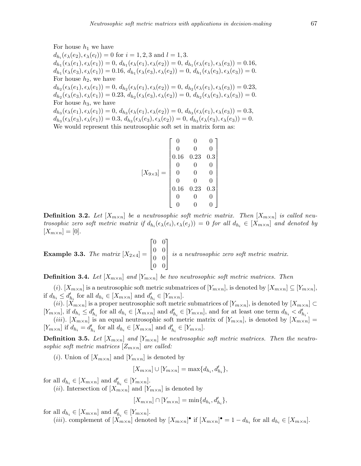For house  $h_1$  we have

 $d_{h_i}(\epsilon_\lambda(e_2), \epsilon_\lambda(e_l)) = 0$  for  $i = 1, 2, 3$  and  $l = 1, 3$ .  $d_{h_1}(\epsilon_{\lambda}(e_1), \epsilon_{\lambda}(e_1)) = 0, d_{h_1}(\epsilon_{\lambda}(e_1), \epsilon_{\lambda}(e_2)) = 0, d_{h_1}(\epsilon_{\lambda}(e_1), \epsilon_{\lambda}(e_3)) = 0.16,$  $d_{h_1}(\epsilon_{\lambda}(e_3), \epsilon_{\lambda}(e_1)) = 0.16, d_{h_1}(\epsilon_{\lambda}(e_3), \epsilon_{\lambda}(e_2)) = 0, d_{h_1}(\epsilon_{\lambda}(e_3), \epsilon_{\lambda}(e_3)) = 0.$ For house *h*2, we have  $d_{h_2}(\epsilon_{\lambda}(e_1), \epsilon_{\lambda}(e_1)) = 0, d_{h_2}(\epsilon_{\lambda}(e_1), \epsilon_{\lambda}(e_2)) = 0, d_{h_2}(\epsilon_{\lambda}(e_1), \epsilon_{\lambda}(e_3)) = 0.23,$  $d_{h_2}(\epsilon_{\lambda}(e_3), \epsilon_{\lambda}(e_1)) = 0.23, d_{h_2}(\epsilon_{\lambda}(e_3), \epsilon_{\lambda}(e_2)) = 0, d_{h_2}(\epsilon_{\lambda}(e_3), \epsilon_{\lambda}(e_3)) = 0.$ For house  $h_3$ , we have  $d_{h_3}(\epsilon_{\lambda}(e_1), \epsilon_{\lambda}(e_1)) = 0, d_{h_3}(\epsilon_{\lambda}(e_1), \epsilon_{\lambda}(e_2)) = 0, d_{h_3}(\epsilon_{\lambda}(e_1), \epsilon_{\lambda}(e_3)) = 0.3,$  $d_{h_3}(\epsilon_{\lambda}(e_3), \epsilon_{\lambda}(e_1)) = 0.3, d_{h_3}(\epsilon_{\lambda}(e_3), \epsilon_{\lambda}(e_2)) = 0, d_{h_3}(\epsilon_{\lambda}(e_3), \epsilon_{\lambda}(e_3)) = 0.$ We would represent this neutrosophic soft set in matrix form as:

$$
[X_{9\times3}]=\begin{bmatrix}0&0&0\\0&0&0\\0.16&0.23&0.3\\0&0&0\\0&0&0\\0&0&0\\0.16&0.23&0.3\\0&0&0\\0&0&0\end{bmatrix}
$$

**Definition 3.2.** Let  $[X_{m \times n}]$  be a neutrosophic soft metric matrix. Then  $[X_{m \times n}]$  is called neutrosophic zero soft metric matrix if  $d_{h_i}(\epsilon_\lambda(e_i), \epsilon_\lambda(e_j)) = 0$  for all  $d_{h_i} \in [X_{m \times n}]$  and denoted by  $[X_{m \times n}] = [0].$ 

**Example 3.3.** *The matrix*  $[X_{2\times4}] =$  $\sqrt{ }$  $\Bigg\}$ 0 0 0 0 0 0 0 0 1  $\Big\}$ *is a neutrosophic zero soft metric matrix.*

**Definition 3.4.** Let  $[X_{m \times n}]$  and  $[Y_{m \times n}]$  be two neutrosophic soft metric matrices. Then

(*i*). [ $X_{m\times n}$ ] is a neutrosophic soft metric submatrices of  $[Y_{m\times n}]$ , is denoted by  $[X_{m\times n}] \subseteq [Y_{m\times n}]$ , if  $d_{h_i} \leq d'_{h_i}$  for all  $d_{h_i} \in [X_{m \times n}]$  and  $d'_{h_i} \in [Y_{m \times n}]$ .

(*ii*). [ $X_{m\times n}$ ] is a proper neutrosophic soft metric submatrices of [ $Y_{m\times n}$ ], is denoted by [ $X_{m\times n}$ ] ⊂  $[Y_{m\times n}]$ , if  $d_{h_i} \leq d'_{h_i}$  for all  $d_{h_i} \in [X_{m\times n}]$  and  $d'_{h_i} \in [Y_{m\times n}]$ , and for at least one term  $d_{h_i} < d'_{h_i}$ .

(*iii*). [ $X_{m\times n}$ ] is an equal neutrosophic soft metric matrix of [ $Y_{m\times n}$ ], is denoted by [ $X_{m\times n}$ ] =  $[Y_{m\times n}]$  if  $d_{h_i} = d'_{h_i}$  for all  $d_{h_i} \in [X_{m\times n}]$  and  $d'_{h_i} \in [Y_{m\times n}]$ .

**Definition 3.5.** Let  $[X_{m \times n}]$  and  $[Y_{m \times n}]$  be neutrosophic soft metric matrices. Then the neutro*sophic soft metric matrices*  $[Z_{m \times n}]$  *are called:* 

(*i*). Union of  $[X_{m \times n}]$  and  $[Y_{m \times n}]$  is denoted by

$$
[X_{m \times n}] \cup [Y_{m \times n}] = \max\{d_{h_i}, d'_{h_i}\},\
$$

for all  $d_{h_i} \in [X_{m \times n}]$  and  $d'_{h_i} \in [Y_{m \times n}]$ .

(*ii*). Intersection of  $[X_{m \times n}]$  and  $[Y_{m \times n}]$  is denoted by

$$
[X_{m \times n}] \cap [Y_{m \times n}] = \min\{d_{h_i}, d'_{h_i}\},\
$$

for all  $d_{h_i} \in [X_{m \times n}]$  and  $d'_{h_i} \in [Y_{m \times n}]$ .

(*iii*). complement of  $[X_{m\times n}]$  denoted by  $[X_{m\times n}]$  if  $[X_{m\times n}]$  = 1 -  $d_{h_i}$  for all  $d_{h_i} \in [X_{m\times n}]$ .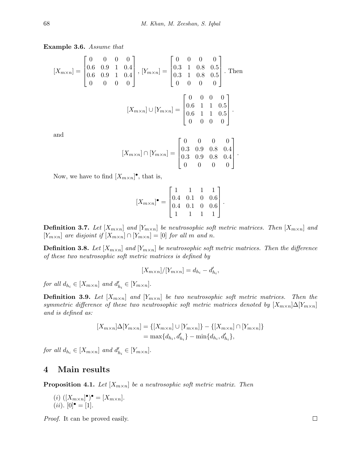**Example 3.6.** *Assume that*

$$
[X_{m \times n}] = \begin{bmatrix} 0 & 0 & 0 & 0 \\ 0.6 & 0.9 & 1 & 0.4 \\ 0.6 & 0.9 & 1 & 0.4 \\ 0 & 0 & 0 & 0 \end{bmatrix}, [Y_{m \times n}] = \begin{bmatrix} 0 & 0 & 0 & 0 \\ 0.3 & 1 & 0.8 & 0.5 \\ 0.3 & 1 & 0.8 & 0.5 \\ 0 & 0 & 0 & 0 \end{bmatrix}.
$$
 Then  

$$
[X_{m \times n}] \cup [Y_{m \times n}] = \begin{bmatrix} 0 & 0 & 0 & 0 \\ 0.6 & 1 & 1 & 0.5 \\ 0.6 & 1 & 1 & 0.5 \\ 0 & 0 & 0 & 0 \end{bmatrix}.
$$

$$
[X_{m \times n}] \cap [Y_{m \times n}] = \begin{bmatrix} 0 & 0 & 0 & 0 \\ 0.3 & 0.9 & 0.8 & 0.4 \\ 0.3 & 0.9 & 0.8 & 0.4 \\ 0 & 0 & 0 & 0 \end{bmatrix}
$$

*.*

Now, we have to find  $[X_{m \times n}]^{\bullet}$ , that is,

$$
[X_{m \times n}]^{\bullet} = \begin{bmatrix} 1 & 1 & 1 & 1 \\ 0.4 & 0.1 & 0 & 0.6 \\ 0.4 & 0.1 & 0 & 0.6 \\ 1 & 1 & 1 & 1 \end{bmatrix}.
$$

**Definition 3.7.** Let  $[X_{m \times n}]$  and  $[Y_{m \times n}]$  be neutrosophic soft metric matrices. Then  $[X_{m \times n}]$  and  $[Y_{m \times n}]$  are disjoint if  $[X_{m \times n}] \cap [Y_{m \times n}] = [0]$  for all *m* and *n*.

**Definition 3.8.** Let  $[X_{m \times n}]$  and  $[Y_{m \times n}]$  be neutrosophic soft metric matrices. Then the difference *of these two neutrosophic soft metric matrices is defined by*

$$
[X_{m \times n}]/[Y_{m \times n}] = d_{h_i} - d'_{h_i},
$$

*for all*  $d_{h_i} \in [X_{m \times n}]$  *and*  $d'_{h_i} \in [Y_{m \times n}]$ .

**Definition 3.9.** Let  $[X_{m \times n}]$  and  $[Y_{m \times n}]$  be two neutrosophic soft metric matrices. Then the *symmetric difference of these two neutrosophic soft metric matrices denoted by*  $[X_{m \times n}] \Delta[Y_{m \times n}]$ *and is defined as:*

$$
[X_{m \times n}] \Delta [Y_{m \times n}] = \{ [X_{m \times n}] \cup [Y_{m \times n}] \} - \{ [X_{m \times n}] \cap [Y_{m \times n}] \}
$$
  
= max{d<sub>h<sub>i</sub></sub>, d'<sub>h<sub>i</sub></sub>} - min{d<sub>h<sub>i</sub></sub>, d'<sub>h<sub>i</sub></sub>},

*for all*  $d_{h_i} \in [X_{m \times n}]$  *and*  $d'_{h_i} \in [Y_{m \times n}]$ .

### **4 Main results**

**Proposition 4.1.** Let  $[X_{m \times n}]$  be a neutrosophic soft metric matrix. Then

 $(i)$   $([X_{m \times n}]^{\bullet})^{\bullet} = [X_{m \times n}]$ .  $(ii). [0]$ <sup>•</sup> = [1]*.* 

*Proof.* It can be proved easily.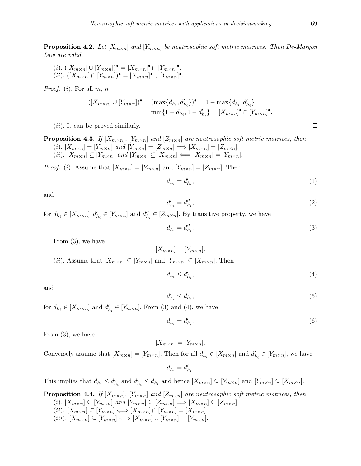**Proposition 4.2.** Let  $[X_{m \times n}]$  and  $[Y_{m \times n}]$  be neutrosophic soft metric matrices. Then De-Margon *Law are valid.*

 $(i)$ .  $([X_{m \times n}] \cup [Y_{m \times n}])^{\bullet} = [X_{m \times n}]^{\bullet} \cap [Y_{m \times n}]^{\bullet}.$  $(iii)$ .  $([X_{m\times n}]\cap [Y_{m\times n}])^{\bullet} = [X_{m\times n}]^{\bullet} \cup [Y_{m\times n}]^{\bullet}.$ 

*Proof.* (*i*)*.* For all *m, n*

$$
([X_{m \times n}] \cup [Y_{m \times n}])^{\bullet} = (\max\{d_{h_i}, d'_{h_i}\})^{\bullet} = 1 - \max\{d_{h_i}, d'_{h_i}\}
$$
  
=  $\min\{1 - d_{h_i}, 1 - d'_{h_i}\} = [X_{m \times n}]^{\bullet} \cap [Y_{m \times n}]^{\bullet}.$ 

(*ii*)*.* It can be proved similarly.

**Proposition 4.3.** *If*  $[X_{m \times n}]$ *,*  $[Y_{m \times n}]$  *and*  $[Z_{m \times n}]$  *are neutrosophic soft metric matrices, then* 

(i).  $[X_{m\times n}] = [Y_{m\times n}]$  and  $[Y_{m\times n}] = [Z_{m\times n}] \Longrightarrow [X_{m\times n}] = [Z_{m\times n}]$ . (ii).  $[X_{m\times n}] \subseteq [Y_{m\times n}]$  and  $[Y_{m\times n}] \subseteq [X_{m\times n}] \Longleftrightarrow [X_{m\times n}] = [Y_{m\times n}]$ .

*Proof.* (*i*). Assume that  $[X_{m \times n}] = [Y_{m \times n}]$  and  $[Y_{m \times n}] = [Z_{m \times n}]$ . Then

$$
d_{h_i} = d'_{h_i},\tag{1}
$$

and

$$
d'_{h_i} = d''_{h_i},\tag{2}
$$

for  $d_{h_i} \in [X_{m \times n}], d'_{h_i} \in [Y_{m \times n}]$  and  $d''_{h_i} \in [Z_{m \times n}]$ . By transitive property, we have

$$
d_{h_i} = d''_{h_i}.\tag{3}
$$

From (3)*,* we have

$$
[X_{m \times n}] = [Y_{m \times n}].
$$
  
(*ii*). Assume that  $[X_{m \times n}] \subseteq [Y_{m \times n}]$  and  $[Y_{m \times n}] \subseteq [X_{m \times n}]$ . Then

$$
d_{h_i} \le d'_{h_i},\tag{4}
$$

and

$$
d'_{h_i} \le d_{h_i},\tag{5}
$$

for  $d_{h_i} \in [X_{m \times n}]$  and  $d'_{h_i} \in [Y_{m \times n}]$ . From (3) and (4), we have

$$
d_{h_i} = d'_{h_i}.\tag{6}
$$

From (3)*,* we have

$$
[X_{m \times n}] = [Y_{m \times n}].
$$

Conversely assume that  $[X_{m \times n}] = [Y_{m \times n}]$ . Then for all  $d_{h_i} \in [X_{m \times n}]$  and  $d'_{h_i} \in [Y_{m \times n}]$ , we have

 $d_{h_i} = d'_{h_i}.$ 

This implies that  $d_{h_i} \leq d'_{h_i}$  and  $d'_{h_i} \leq d_{h_i}$  and hence  $[X_{m \times n}] \subseteq [Y_{m \times n}]$  and  $[Y_{m \times n}] \subseteq [X_{m \times n}]$ .  $\Box$ 

**Proposition 4.4.** *If*  $[X_{m \times n}]$ *,*  $[Y_{m \times n}]$  *and*  $[Z_{m \times n}]$  *are neutrosophic soft metric matrices, then* (i).  $[X_{m\times n}] \subseteq [Y_{m\times n}]$  and  $[Y_{m\times n}] \subseteq [Z_{m\times n}] \Longrightarrow [X_{m\times n}] \subseteq [Z_{m\times n}]$ . (ii).  $[X_{m \times n}] \subseteq [Y_{m \times n}] \Longleftrightarrow [X_{m \times n}] \cap [Y_{m \times n}] = [X_{m \times n}].$ 

(iii).  $[X_{m \times n}] \subseteq [Y_{m \times n}] \Longleftrightarrow [X_{m \times n}] \cup [Y_{m \times n}] = [Y_{m \times n}].$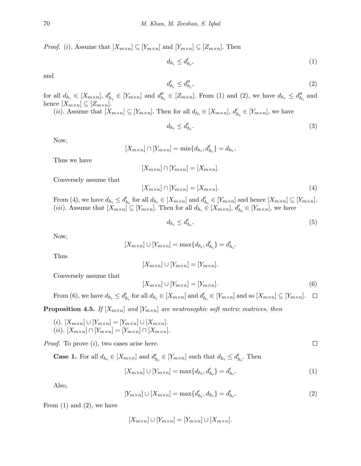*Proof.* (*i*). Assume that  $[X_{m \times n}] \subseteq [Y_{m \times n}]$  and  $[Y_{m \times n}] \subseteq [Z_{m \times n}]$ . Then

$$
d_{h_i} \le d'_{h_i},\tag{1}
$$

and

$$
d'_{h_i} \le d''_{h_i},\tag{2}
$$

for all  $d_{h_i} \in [X_{m \times n}]$ ,  $d'_{h_i} \in [Y_{m \times n}]$  and  $d''_{h_i} \in [Z_{m \times n}]$ . From (1) and (2), we have  $d_{h_i} \leq d''_{h_i}$  and hence  $[X_{m \times n}] \subseteq [Z_{m \times n}]$ .

(*ii*). Assume that  $[X_{m \times n}] \subseteq [Y_{m \times n}]$ . Then for all  $d_{h_i} \in [X_{m \times n}]$ ,  $d'_{h_i} \in [Y_{m \times n}]$ , we have

$$
d_{h_i} \le d'_{h_i}.\tag{3}
$$

Now,

$$
[X_{m \times n}] \cap [Y_{m \times n}] = \min\{d_{h_i}, d'_{h_i}\} = d_{h_i}.
$$

Thus we have

$$
[X_{m \times n}] \cap [Y_{m \times n}] = [X_{m \times n}].
$$

Conversely assume that

$$
[X_{m \times n}] \cap [Y_{m \times n}] = [X_{m \times n}]. \tag{4}
$$

From (4), we have  $d_{h_i} \leq d'_{h_i}$  for all  $d_{h_i} \in [X_{m \times n}]$  and  $d'_{h_i} \in [Y_{m \times n}]$  and hence  $[X_{m \times n}] \subseteq [Y_{m \times n}]$ . (*iii*). Assume that  $[X_{m \times n}] \subseteq [Y_{m \times n}]$ . Then for all  $d_{h_i} \in [X_{m \times n}]$ ,  $d'_{h_i} \in [Y_{m \times n}]$ , we have

$$
d_{h_i} \le d'_{h_i}.\tag{5}
$$

Now,

$$
[X_{m \times n}] \cup [Y_{m \times n}] = \max\{d_{h_i}, d'_{h_i}\} = d'_{h_i}.
$$

Thus

$$
[X_{m \times n}] \cup [Y_{m \times n}] = [Y_{m \times n}].
$$

Conversely assume that

$$
[X_{m \times n}] \cup [Y_{m \times n}] = [Y_{m \times n}]. \tag{6}
$$

From (6), we have  $d_{h_i} \leq d'_{h_i}$  for all  $d_{h_i} \in [X_{m \times n}]$  and  $d'_{h_i} \in [Y_{m \times n}]$  and so  $[X_{m \times n}] \subseteq [Y_{m \times n}]$ .  $\Box$ 

**Proposition 4.5.** *If*  $[X_{m \times n}]$  *and*  $[Y_{m \times n}]$  *are neutrosophic soft metric matrices, then* 

 $(i)$ *.*  $[X_{m \times n}] \cup [Y_{m \times n}] = [Y_{m \times n}] \cup [X_{m \times n}]$ .  $(iii)$ .  $[X_{m \times n}] \cap [Y_{m \times n}] = [Y_{m \times n}] \cap [X_{m \times n}]$ .

*Proof.* To prove (*i*)*,* two cases arise here.

**Case 1.** For all  $d_{h_i} \in [X_{m \times n}]$  and  $d'_{h_i} \in [Y_{m \times n}]$  such that  $d_{h_i} \leq d'_{h_i}$ . Then

$$
[X_{m \times n}] \cup [Y_{m \times n}] = \max\{d_{h_i}, d'_{h_i}\} = d'_{h_i}.
$$
\n(1)

Also,

$$
[Y_{m \times n}] \cup [X_{m \times n}] = \max\{d'_{h_i}, d_{h_i}\} = d'_{h_i}.
$$
\n(2)

From (1) and (2)*,* we have

$$
[X_{m \times n}] \cup [Y_{m \times n}] = [Y_{m \times n}] \cup [X_{m \times n}].
$$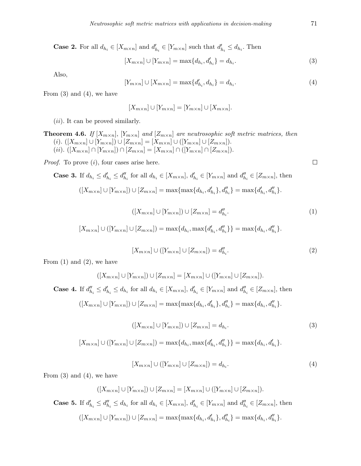**Case 2.** For all  $d_{h_i} \in [X_{m \times n}]$  and  $d'_{h_i} \in [Y_{m \times n}]$  such that  $d'_{h_i} \leq d_{h_i}$ . Then

$$
[X_{m \times n}] \cup [Y_{m \times n}] = \max\{d_{h_i}, d'_{h_i}\} = d_{h_i}.
$$
\n(3)

Also,

$$
[Y_{m \times n}] \cup [X_{m \times n}] = \max\{d'_{h_i}, d_{h_i}\} = d_{h_i}.
$$
\n(4)

From (3) and (4)*,* we have

$$
[X_{m \times n}] \cup [Y_{m \times n}] = [Y_{m \times n}] \cup [X_{m \times n}].
$$

(*ii*)*.* It can be proved similarly.

**Theorem 4.6.** If 
$$
[X_{m \times n}]
$$
,  $[Y_{m \times n}]$  and  $[Z_{m \times n}]$  are neutrosophic soft metric matrices, then  
\n(i).  $([X_{m \times n}] \cup [Y_{m \times n}]) \cup [Z_{m \times n}] = [X_{m \times n}] \cup ([Y_{m \times n}] \cup [Z_{m \times n}]).$   
\n(ii).  $([X_{m \times n}] \cap [Y_{m \times n}] \cap [Z_{m \times n}] = [X_{m \times n}] \cap ([Y_{m \times n}] \cap [Z_{m \times n}]).$ 

*Proof.* To prove (*i*)*,* four cases arise here.

**Case 3.** If 
$$
d_{h_i} \leq d'_{h_i} \leq d''_{h_i}
$$
 for all  $d_{h_i} \in [X_{m \times n}], d'_{h_i} \in [Y_{m \times n}]$  and  $d''_{h_i} \in [Z_{m \times n}],$  then

$$
([X_{m \times n}] \cup [Y_{m \times n}]) \cup [Z_{m \times n}] = \max\{\max\{d_{h_i}, d'_{h_i}\}, d''_{h_i}\} = \max\{d'_{h_i}, d''_{h_i}\}.
$$

$$
([X_{m \times n}] \cup [Y_{m \times n}]) \cup [Z_{m \times n}] = d''_{h_i}.
$$
\n
$$
(1)
$$

$$
[X_{m \times n}] \cup ([Y_{m \times n}] \cup [Z_{m \times n}]) = \max\{d_{h_i}, \max\{d'_{h_i}, d''_{h_i}\}\} = \max\{d_{h_i}, d''_{h_i}\}.
$$

$$
[X_{m \times n}] \cup ([Y_{m \times n}] \cup [Z_{m \times n}]) = d''_{h_i}.
$$
\n
$$
(2)
$$

From (1) and (2)*,* we have

$$
([X_{m \times n}] \cup [Y_{m \times n}]) \cup [Z_{m \times n}] = [X_{m \times n}] \cup ([Y_{m \times n}] \cup [Z_{m \times n}]).
$$
  
**Case 4.** If  $d''_{h_i} \le d'_{h_i} \le d_{h_i}$  for all  $d_{h_i} \in [X_{m \times n}]$ ,  $d'_{h_i} \in [Y_{m \times n}]$  and  $d''_{h_i} \in [Z_{m \times n}]$ , then  

$$
([X_{m \times n}] \cup [Y_{m \times n}]) \cup [Z_{m \times n}] = \max{\max{d_{h_i}, d'_{h_i}}, d''_{h_i}} = \max{d_{h_i}, d''_{h_i}}.
$$

$$
([X_{m \times n}] \cup [Y_{m \times n}]) \cup [Z_{m \times n}] = d_{h_i}.
$$
\n
$$
(3)
$$

$$
[X_{m \times n}] \cup ([Y_{m \times n}] \cup [Z_{m \times n}]) = \max\{d_{h_i}, \max\{d'_{h_i}, d''_{h_i}\}\} = \max\{d_{h_i}, d'_{h_i}\}.
$$

$$
[X_{m \times n}] \cup ([Y_{m \times n}] \cup [Z_{m \times n}]) = d_{h_i}.
$$
\n
$$
(4)
$$

From (3) and (4)*,* we have

$$
([X_{m \times n}] \cup [Y_{m \times n}]) \cup [Z_{m \times n}] = [X_{m \times n}] \cup ([Y_{m \times n}] \cup [Z_{m \times n}]).
$$
  
**Case 5.** If  $d'_{h_i} \le d''_{h_i} \le d_{h_i}$  for all  $d_{h_i} \in [X_{m \times n}]$ ,  $d'_{h_i} \in [Y_{m \times n}]$  and  $d''_{h_i} \in [Z_{m \times n}]$ , then

$$
([X_{m \times n}] \cup [Y_{m \times n}]) \cup [Z_{m \times n}] = \max\{\max\{d_{h_i}, d'_{h_i}\}, d''_{h_i}\} = \max\{d_{h_i}, d''_{h_i}\}.
$$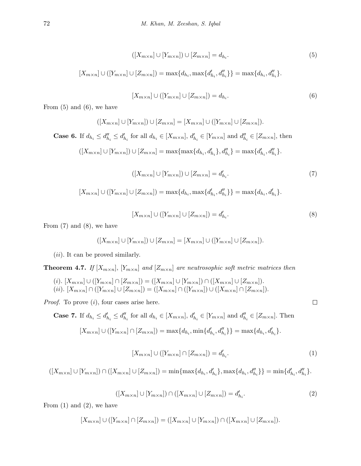$$
([X_{m \times n}] \cup [Y_{m \times n}]) \cup [Z_{m \times n}] = d_{h_i}.
$$
\n
$$
(5)
$$

$$
[X_{m \times n}] \cup ([Y_{m \times n}] \cup [Z_{m \times n}]) = \max\{d_{h_i}, \max\{d'_{h_i}, d''_{h_i}\}\} = \max\{d_{h_i}, d''_{h_i}\}.
$$

$$
[X_{m \times n}] \cup ([Y_{m \times n}] \cup [Z_{m \times n}]) = d_{h_i}.
$$
\n
$$
(6)
$$

From (5) and (6)*,* we have

$$
([X_{m \times n}] \cup [Y_{m \times n}]) \cup [Z_{m \times n}] = [X_{m \times n}] \cup ([Y_{m \times n}] \cup [Z_{m \times n}]).
$$
  
**Case 6.** If  $d_{h_i} \le d'_{h_i} \le d'_{h_i}$  for all  $d_{h_i} \in [X_{m \times n}]$ ,  $d'_{h_i} \in [Y_{m \times n}]$  and  $d''_{h_i} \in [Z_{m \times n}]$ , then  

$$
([X_{m \times n}] \cup [Y_{m \times n}]) \cup [Z_{m \times n}] = \max\{\max\{d_{h_i}, d'_{h_i}\}, d''_{h_i}\} = \max\{d'_{h_i}, d''_{h_i}\}.
$$

$$
([X_{m \times n}] \cup [Y_{m \times n}]) \cup [Z_{m \times n}] = d'_{h_i}.
$$
\n
$$
(7)
$$

$$
[X_{m \times n}] \cup ([Y_{m \times n}] \cup [Z_{m \times n}]) = \max\{d_{h_i}, \max\{d'_{h_i}, d''_{h_i}\}\} = \max\{d_{h_i}, d'_{h_i}\}.
$$

$$
[X_{m \times n}] \cup ([Y_{m \times n}] \cup [Z_{m \times n}]) = d'_{h_i}.
$$
\n
$$
(8)
$$

From (7) and (8)*,* we have

$$
([X_{m \times n}] \cup [Y_{m \times n}]) \cup [Z_{m \times n}] = [X_{m \times n}] \cup ([Y_{m \times n}] \cup [Z_{m \times n}]).
$$

(*ii*)*.* It can be proved similarly.

**Theorem 4.7.** *If*  $[X_{m \times n}]$ *,*  $[Y_{m \times n}]$  *and*  $[Z_{m \times n}]$  *are neutrosophic soft metric matrices then* 

- (i).  $[X_{m\times n}] \cup ([Y_{m\times n}] \cap [Z_{m\times n}]) = ([X_{m\times n}] \cup [Y_{m\times n}] \cap ([X_{m\times n}] \cup [Z_{m\times n}]).$
- (ii).  $[X_{m\times n}] \cap ([Y_{m\times n}] \cup [Z_{m\times n}]) = ([X_{m\times n}] \cap ([Y_{m\times n}]) \cup ([X_{m\times n}] \cap [Z_{m\times n}]).$

*Proof.* To prove (*i*)*,* four cases arise here.

**Case 7.** If  $d_{h_i} \leq d'_{h_i} \leq d''_{h_i}$  for all  $d_{h_i} \in [X_{m \times n}]$ ,  $d'_{h_i} \in [Y_{m \times n}]$  and  $d''_{h_i} \in [Z_{m \times n}]$ . Then  $[X_{m\times n}] \cup ([Y_{m\times n}] \cap [Z_{m\times n}]) = \max\{d_{h_i}, \min\{d'_{h_i}, d''_{h_i}\}\} = \max\{d_{h_i}, d'_{h_i}\}.$ 

$$
[X_{m \times n}] \cup ([Y_{m \times n}] \cap [Z_{m \times n}]) = d'_{h_i}.
$$
\n
$$
(1)
$$

 $\Box$ 

 $([X_{m\times n}]\cup[Y_{m\times n}])\cap([X_{m\times n}]\cup[Z_{m\times n}])=\min\{\max\{d_{h_i},d'_{h_i}\},\max\{d_{h_i},d''_{h_i}\}\}=\min\{d'_{h_i},d''_{h_i}\}.$ 

$$
([X_{m \times n}] \cup [Y_{m \times n}]) \cap ([X_{m \times n}] \cup [Z_{m \times n}]) = d'_{h_i}.
$$
\n
$$
(2)
$$

From (1) and (2)*,* we have

$$
[X_{m\times n}] \cup ([Y_{m\times n}] \cap [Z_{m\times n}]) = ([X_{m\times n}] \cup [Y_{m\times n}]) \cap ([X_{m\times n}] \cup [Z_{m\times n}]).
$$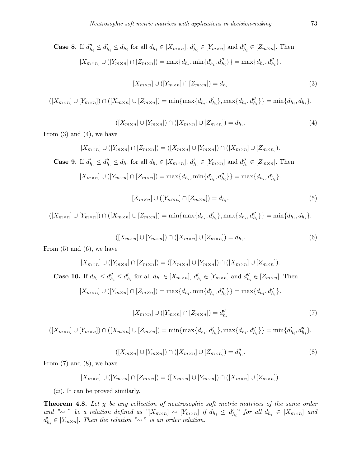**Case 8.** If  $d_{h_i}'' \leq d_{h_i}' \leq d_{h_i}$  for all  $d_{h_i} \in [X_{m \times n}]$ ,  $d_{h_i}' \in [Y_{m \times n}]$  and  $d_{h_i}'' \in [Z_{m \times n}]$ . Then  $[X_{m\times n}] \cup ([Y_{m\times n}] \cap [Z_{m\times n}]) = \max\{d_{h_i}, \min\{d'_{h_i}, d''_{h_i}\}\} = \max\{d_{h_i}, d''_{h_i}\}.$ 

$$
[X_{m \times n}] \cup ([Y_{m \times n}] \cap [Z_{m \times n}]) = d_{h_i}
$$
\n(3)

 $([X_{m\times n}]\cup [Y_{m\times n}])\cap ([X_{m\times n}]\cup [Z_{m\times n}]) = \min\{\max\{d_{h_i}, d'_{h_i}\}, \max\{d_{h_i}, d''_{h_i}\}\} = \min\{d_{h_i}, d_{h_i}\}.$ 

$$
([X_{m \times n}] \cup [Y_{m \times n}]) \cap ([X_{m \times n}] \cup [Z_{m \times n}]) = d_{h_i}.
$$
\n
$$
(4)
$$

From (3) and (4)*,* we have

$$
[X_{m \times n}] \cup ([Y_{m \times n}] \cap [Z_{m \times n}]) = ([X_{m \times n}] \cup [Y_{m \times n}]) \cap ([X_{m \times n}] \cup [Z_{m \times n}]).
$$
  
**Case 9.** If  $d'_{h_i} \le d''_{h_i} \le d_{h_i}$  for all  $d_{h_i} \in [X_{m \times n}]$ ,  $d'_{h_i} \in [Y_{m \times n}]$  and  $d''_{h_i} \in [Z_{m \times n}]$ . Then  

$$
[X_{m \times n}] \cup ([Y_{m \times n}] \cap [Z_{m \times n}]) = \max\{d_{h_i}, \min\{d'_{h_i}, d''_{h_i}\}\} = \max\{d_{h_i}, d'_{h_i}\}.
$$

$$
[X_{m \times n}] \cup ([Y_{m \times n}] \cap [Z_{m \times n}]) = d_{h_i}.
$$
\n
$$
(5)
$$

 $([X_{m\times n}]\cup [Y_{m\times n}])\cap ([X_{m\times n}]\cup [Z_{m\times n}]) = \min\{\max\{d_{h_i}, d'_{h_i}\}, \max\{d_{h_i}, d''_{h_i}\}\} = \min\{d_{h_i}, d_{h_i}\}.$ 

$$
([X_{m \times n}] \cup [Y_{m \times n}]) \cap ([X_{m \times n}] \cup [Z_{m \times n}]) = d_{h_i}.
$$
\n
$$
(6)
$$

From (5) and (6)*,* we have

$$
[X_{m \times n}] \cup ([Y_{m \times n}] \cap [Z_{m \times n}]) = ([X_{m \times n}] \cup [Y_{m \times n}]) \cap ([X_{m \times n}] \cup [Z_{m \times n}]).
$$
  
**Case 10.** If  $d_{h_i} \le d'_{h_i} \le d'_{h_i}$  for all  $d_{h_i} \in [X_{m \times n}]$ ,  $d'_{h_i} \in [Y_{m \times n}]$  and  $d''_{h_i} \in [Z_{m \times n}]$ . Then  

$$
[X_{m \times n}] \cup ([Y_{m \times n}] \cap [Z_{m \times n}]) = \max\{d_{h_i}, \min\{d'_{h_i}, d''_{h_i}\}\} = \max\{d_{h_i}, d''_{h_i}\}.
$$

$$
[X_{m \times n}] \cup ([Y_{m \times n}] \cap [Z_{m \times n}]) = d''_{h_i}
$$
\n<sup>(7)</sup>

 $([X_{m\times n}]\cup [Y_{m\times n}])\cap ([X_{m\times n}]\cup [Z_{m\times n}]) = \min\{\max\{d_{h_i}, d'_{h_i}\}, \max\{d_{h_i}, d''_{h_i}\}\} = \min\{d'_{h_i}, d''_{h_i}\}.$ 

$$
([X_{m\times n}]\cup[Y_{m\times n}])\cap([X_{m\times n}]\cup[Z_{m\times n}])=d''_{h_i}.
$$
\n(8)

From (7) and (8)*,* we have

$$
[X_{m\times n}] \cup ([Y_{m\times n}] \cap [Z_{m\times n}]) = ([X_{m\times n}] \cup [Y_{m\times n}]) \cap ([X_{m\times n}] \cup [Z_{m\times n}]).
$$

(*ii*)*.* It can be proved similarly.

**Theorem 4.8.** Let  $\chi$  be any collection of neutrosophic soft metric matrices of the same order and " $\sim$  " be a relation defined as "[ $X_{m\times n}$ ]  $\sim$  [ $Y_{m\times n}$ ] if  $d_{h_i} \leq d'_{h_i}$ " for all  $d_{h_i} \in [X_{m\times n}]$  and  $d'_{h_i} \in [Y_{m \times n}]$ *. Then the relation "* $\sim$  " *is an order relation.*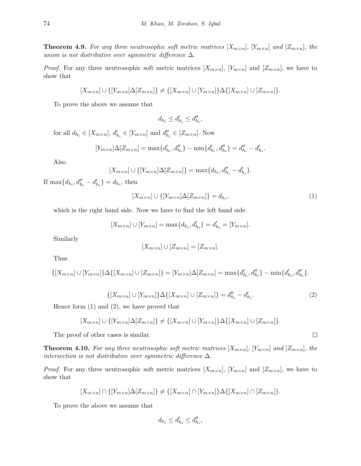**Theorem 4.9.** For any three neutrosophic soft metric matrices  $[X_{m\times n}]$ ,  $[Y_{m\times n}]$  and  $[Z_{m\times n}]$ , the *union is not distributive over symmetric difference* ∆*.*

*Proof.* For any three neutrosophic soft metric matrices  $[X_{m \times n}]$ ,  $[Y_{m \times n}]$  and  $[Z_{m \times n}]$ , we have to show that

$$
[X_{m\times n}] \cup \{[Y_{m\times n}]\Delta[Z_{m\times n}]\}\neq \{[X_{m\times n}] \cup [Y_{m\times n}]\Delta\{[X_{m\times n}] \cup [Z_{m\times n}]\}.
$$

To prove the above we assume that

$$
d_{h_i} \le d'_{h_i} \le d''_{h_i},
$$

for all  $d_{h_i} \in [X_{m \times n}]$ ,  $d'_{h_i} \in [Y_{m \times n}]$  and  $d''_{h_i} \in [Z_{m \times n}]$ . Now

$$
[Y_{m \times n}] \Delta [Z_{m \times n}] = \max \{d'_{h_i}, d''_{h_i}\} - \min \{d'_{h_i}, d''_{h_i}\} = d''_{h_i} - d'_{h_i}.
$$

Also

$$
[X_{m \times n}] \cup \{ [Y_{m \times n}] \Delta [Z_{m \times n}] \} = \max \{ d_{h_i}, d''_{h_i} - d'_{h_i} \}.
$$

If  $\max\{d_{h_i}, d''_{h_i} - d'_{h_i}\} = d_{h_i}$ , then

$$
[X_{m \times n}] \cup \{ [Y_{m \times n}] \Delta [Z_{m \times n}] \} = d_{h_i},\tag{1}
$$

which is the right hand side. Now we have to find the left hand side:

$$
[X_{m \times n}] \cup [Y_{m \times n}] = \max\{d_{h_i}, d'_{h_i}\} = d'_{h_i} = [Y_{m \times n}].
$$

Similarly

$$
[X_{m \times n}] \cup [Z_{m \times n}] = [Z_{m \times n}].
$$

Thus

$$
\{[X_{m \times n}] \cup [Y_{m \times n}]\}\Delta\{[X_{m \times n}] \cup [Z_{m \times n}]\} = [Y_{m \times n}]\Delta[Z_{m \times n}] = \max\{d'_{h_i}, d''_{h_i}\} - \min\{d'_{h_i}, d''_{h_i}\}.
$$

$$
\{[X_{m \times n}] \cup [Y_{m \times n}]\} \Delta \{[X_{m \times n}] \cup [Z_{m \times n}]\} = d''_{h_i} - d'_{h_i}.
$$
\n(2)

Hence form (1) and (2)*,* we have proved that

$$
[X_{m\times n}] \cup \{[Y_{m\times n}]\Delta[Z_{m\times n}]\}\neq \{[X_{m\times n}] \cup [Y_{m\times n}]\Delta\{[X_{m\times n}]\cup [Z_{m\times n}]\}.
$$

The proof of other cases is similar.

**Theorem 4.10.** For any three neutrosophic soft metric matrices  $[X_{m \times n}]$ ,  $[Y_{m \times n}]$  and  $[Z_{m \times n}]$ , the *intersection is not distributive over symmetric difference* ∆*.*

*Proof.* For any three neutrosophic soft metric matrices  $[X_{m \times n}]$ ,  $[Y_{m \times n}]$  and  $[Z_{m \times n}]$ , we have to show that

$$
[X_{m\times n}]\cap\{[Y_{m\times n}]\Delta[Z_{m\times n}]\}\neq\{[X_{m\times n}]\cap[Y_{m\times n}]\Delta\{[X_{m\times n}]\cap[Z_{m\times n}]\}.
$$

To prove the above we assume that

$$
d_{h_i} \le d'_{h_i} \le d''_{h_i},
$$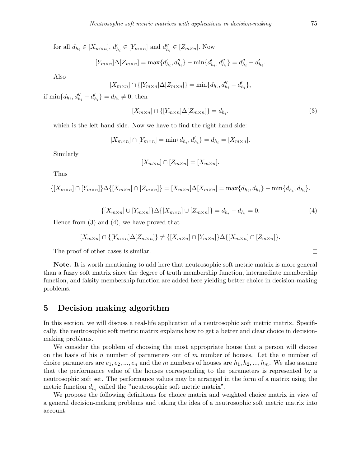for all  $d_{h_i} \in [X_{m \times n}]$ ,  $d'_{h_i} \in [Y_{m \times n}]$  and  $d''_{h_i} \in [Z_{m \times n}]$ . Now

$$
[Y_{m \times n}] \Delta [Z_{m \times n}] = \max \{d'_{h_i}, d''_{h_i}\} - \min \{d'_{h_i}, d''_{h_i}\} = d''_{h_i} - d'_{h_i}.
$$

Also

$$
[X_{m \times n}] \cap \{[Y_{m \times n}]\Delta[Z_{m \times n}]\} = \min\{d_{h_i}, d''_{h_i} - d'_{h_i}\},\
$$

if  $\min\{d_{h_i}, d''_{h_i} - d'_{h_i}\} = d_{h_i} \neq 0$ , then

$$
[X_{m \times n}] \cap \{ [Y_{m \times n}] \Delta [Z_{m \times n}] \} = d_{h_i}.
$$
\n(3)

which is the left hand side. Now we have to find the right hand side:

$$
[X_{m \times n}] \cap [Y_{m \times n}] = \min\{d_{h_i}, d'_{h_i}\} = d_{h_i} = [X_{m \times n}].
$$

Similarly

$$
[X_{m \times n}] \cap [Z_{m \times n}] = [X_{m \times n}].
$$

Thus

$$
\{[X_{m \times n}] \cap [Y_{m \times n}]\}\Delta\{[X_{m \times n}] \cap [Z_{m \times n}]\} = [X_{m \times n}]\Delta[X_{m \times n}] = \max\{d_{h_i}, d_{h_i}\} - \min\{d_{h_i}, d_{h_i}\}.
$$

$$
\{[X_{m \times n}] \cup [Y_{m \times n}]\}\Delta\{[X_{m \times n}] \cup [Z_{m \times n}]\} = d_{h_i} - d_{h_i} = 0.
$$
\n(4)

Hence from (3) and (4)*,* we have proved that

$$
[X_{m\times n}]\cap\{[Y_{m\times n}]\Delta[Z_{m\times n}]\}\neq\{[X_{m\times n}]\cap[Y_{m\times n}]\Delta\{[X_{m\times n}]\cap[Z_{m\times n}]\}.
$$

The proof of other cases is similar.

**Note.** It is worth mentioning to add here that neutrosophic soft metric matrix is more general than a fuzzy soft matrix since the degree of truth membership function, intermediate membership function, and falsity membership function are added here yielding better choice in decision-making problems.

### **5 Decision making algorithm**

In this section, we will discuss a real-life application of a neutrosophic soft metric matrix. Specifically, the neutrosophic soft metric matrix explains how to get a better and clear choice in decisionmaking problems.

We consider the problem of choosing the most appropriate house that a person will choose on the basis of his *n* number of parameters out of *m* number of houses. Let the *n* number of choice parameters are  $e_1, e_2, ..., e_n$  and the *m* numbers of houses are  $h_1, h_2, ..., h_m$ . We also assume that the performance value of the houses corresponding to the parameters is represented by a neutrosophic soft set. The performance values may be arranged in the form of a matrix using the metric function  $d_{h_i}$  called the "neutrosophic soft metric matrix".

We propose the following definitions for choice matrix and weighted choice matrix in view of a general decision-making problems and taking the idea of a neutrosophic soft metric matrix into account: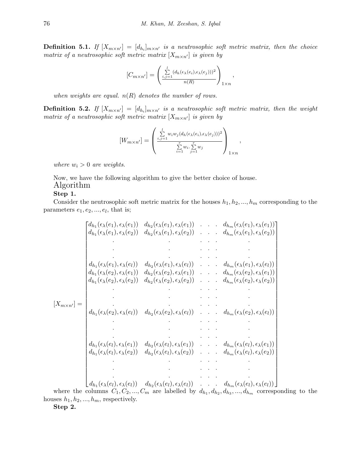**Definition 5.1.** *If*  $[X_{m \times n'}] = [d_{h_i}]_{m \times n'}$  *is a neutrosophic soft metric matrix, then the choice matrix of a neutrosophic soft metric matrix*  $[X_{m \times n'}]$  *is given by* 

$$
[C_{m \times n'}] = \left(\frac{\sum_{i,j=1}^{l} (d_h(\epsilon_\lambda(e_i), \epsilon_\lambda(e_j)))^2}{n(R)}\right)_{1 \times n},
$$

*when weights are equal. n*(*R*) *denotes the number of rows.*

**Definition 5.2.** *If*  $[X_{m \times n'}] = [d_{h_i}]_{m \times n'}$  *is a neutrosophic soft metric matrix, then the weight matrix of a neutrosophic soft metric matrix*  $[X_{m \times n'}]$  *is given by* 

$$
[W_{m \times n'}] = \left(\frac{\sum\limits_{i,j=1}^{l} w_i w_j (d_h(\epsilon_\lambda(e_i), \epsilon_\lambda(e_j)))^2}{\sum\limits_{i=1}^{r} w_i \cdot \sum\limits_{j=1}^{r} w_j}\right)_{1 \times n},
$$

*where*  $w_i > 0$  *are weights.* 

Now, we have the following algorithm to give the better choice of house. Algorithm

#### **Step 1.**

Consider the neutrosophic soft metric matrix for the houses  $h_1, h_2, \ldots, h_m$  corresponding to the parameters  $e_1, e_2, \ldots, e_l$ , that is;

[*Xm×n′*] = *dh*<sup>1</sup> (*ϵλ*(*e*1)*, ϵλ*(*e*1)) *dh*<sup>2</sup> (*ϵλ*(*e*1)*, ϵλ*(*e*1)) *. . . dhm*(*ϵλ*(*e*1)*, ϵλ*(*e*1)) *dh*<sup>1</sup> (*ϵλ*(*e*1)*, ϵλ*(*e*2)) *dh*<sup>2</sup> (*ϵλ*(*e*1)*, ϵλ*(*e*2)) *. . . dhm*(*ϵλ*(*e*1)*, ϵλ*(*e*2)) *. . . . . . . . . . . . . . . . . . dh*<sup>1</sup> (*ϵλ*(*e*1)*, ϵλ*(*el*)) *dh*<sup>2</sup> (*ϵλ*(*e*1)*, ϵλ*(*el*)) *. . . dhm*(*ϵλ*(*e*1)*, ϵλ*(*el*)) *dh*<sup>1</sup> (*ϵλ*(*e*2)*, ϵλ*(*e*1)) *dh*<sup>2</sup> (*ϵλ*(*e*2)*, ϵλ*(*e*1)) *. . . dhm*(*ϵλ*(*e*2)*, ϵλ*(*e*1)) *dh*<sup>1</sup> (*ϵλ*(*e*2)*, ϵλ*(*e*2)) *dh*<sup>2</sup> (*ϵλ*(*e*2)*, ϵλ*(*e*2)) *. . . dhm*(*ϵλ*(*e*2)*, ϵλ*(*e*2)) *. . . . . . . . . . . . . . . . . . dh*<sup>1</sup> (*ϵλ*(*e*2)*, ϵλ*(*el*)) *dh*<sup>2</sup> (*ϵλ*(*e*2)*, ϵλ*(*el*)) *. . . dhm*(*ϵλ*(*e*2)*, ϵλ*(*el*)) *. . . . . . . . . . . . . . . . . . dh*<sup>1</sup> (*ϵλ*(*el*)*, ϵλ*(*e*1)) *dh*<sup>2</sup> (*ϵλ*(*el*)*, ϵλ*(*e*1)) *. . . dhm*(*ϵλ*(*el*)*, ϵλ*(*e*1)) *dh*<sup>1</sup> (*ϵλ*(*el*)*, ϵλ*(*e*2)) *dh*<sup>2</sup> (*ϵλ*(*el*)*, ϵλ*(*e*2)) *. . . dhm*(*ϵλ*(*el*)*, ϵλ*(*e*2)) *. . . . . . . . . . . . . . . . . . dh*<sup>1</sup> (*ϵλ*(*el*)*, ϵλ*(*el*)) *dh*<sup>2</sup> (*ϵλ*(*el*)*, ϵλ*(*el*)) *. . . dhm*(*ϵλ*(*el*)*, ϵλ*(*el*)) 

where the columns  $C_1, C_2, ..., C_m$  are labelled by  $d_{h_1}, d_{h_2}, d_{h_3}, ..., d_{h_m}$  corresponding to the houses  $h_1, h_2, ..., h_m$ , respectively.

**Step 2.**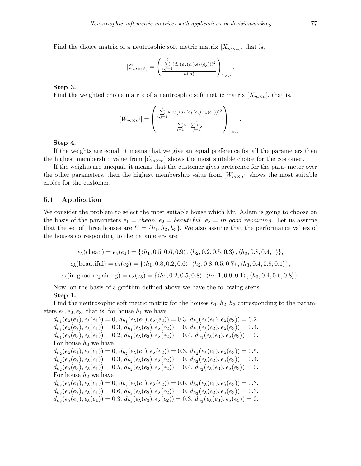Find the choice matrix of a neutrosphic soft metric matrix  $[X_{m \times n}]$ , that is,

$$
[C_{m \times n'}] = \left(\frac{\sum\limits_{i,j=1}^{l} (d_h(\epsilon_\lambda(e_i), \epsilon_\lambda(e_j)))^2}{n(R)}\right)_{1 \times n}.
$$

#### **Step 3.**

Find the weighted choice matrix of a neutrosphic soft metric matrix  $[X_{m \times n}]$ , that is,

$$
[W_{m \times n'}] = \begin{pmatrix} \sum_{i,j=1}^{l} w_i w_j (d_h(\epsilon_\lambda(e_i), \epsilon_\lambda(e_j)))^2 \\ \sum_{i=1}^{r} w_i \sum_{j=1}^{r} w_j \\ 0 & 0 \end{pmatrix}_{1 \times n}.
$$

#### **Step 4.**

If the weights are equal, it means that we give an equal preference for all the parameters then the highest membership value from  $[C_{m \times n'}]$  shows the most suitable choice for the costomer.

If the weights are unequal, it means that the customer gives preference for the para- meter over the other parameters, then the highest membership value from  $W_{m \times n'}$  shows the most suitable choice for the customer.

#### **5.1 Application**

We consider the problem to select the most suitable house which Mr. Aslam is going to choose on the basis of the parameters  $e_1 = cheap$ ,  $e_2 = beautiful$ ,  $e_3 = in good requiring$ . Let us assume that the set of three houses are  $U = \{h_1, h_2, h_3\}$ . We also assume that the performance values of the houses corresponding to the parameters are:

$$
\epsilon_{\lambda}(\text{cheap}) = \epsilon_{\lambda}(e_1) = \{ \langle h_1, 0.5, 0.6, 0.9 \rangle, \langle h_2, 0.2, 0.5, 0.3 \rangle, \langle h_3, 0.8, 0.4, 1 \rangle \},
$$
  

$$
\epsilon_{\lambda}(\text{beautiful}) = \epsilon_{\lambda}(e_2) = \{ \langle h_1, 0.8, 0.2, 0.6 \rangle, \langle h_2, 0.8, 0.5, 0.7 \rangle, \langle h_3, 0.4, 0.9, 0.1 \rangle \},
$$

 $\epsilon_{\lambda}$ (in good repairing) =  $\epsilon_{\lambda}(e_3) = \{ \langle h_1, 0.2, 0.5, 0.8 \rangle, \langle h_2, 1, 0.9, 0.1 \rangle, \langle h_3, 0.4, 0.6, 0.8 \rangle \}.$ 

Now, on the basis of algorithm defined above we have the following steps: **Step 1.**

Find the neutrosophic soft metric matrix for the houses  $h_1, h_2, h_3$  corresponding to the parameters  $e_1, e_2, e_3$ , that is; for house  $h_1$  we have

 $d_{h_1}(\epsilon_{\lambda}(e_1), \epsilon_{\lambda}(e_1)) = 0, d_{h_1}(\epsilon_{\lambda}(e_1), \epsilon_{\lambda}(e_2)) = 0.3, d_{h_1}(\epsilon_{\lambda}(e_1), \epsilon_{\lambda}(e_3)) = 0.2,$  $d_{h_1}(\epsilon_{\lambda}(e_2), \epsilon_{\lambda}(e_1)) = 0.3, d_{h_1}(\epsilon_{\lambda}(e_2), \epsilon_{\lambda}(e_2)) = 0, d_{h_1}(\epsilon_{\lambda}(e_2), \epsilon_{\lambda}(e_3)) = 0.4,$  $d_{h_1}(\epsilon_{\lambda}(e_3), \epsilon_{\lambda}(e_1)) = 0.2, d_{h_1}(\epsilon_{\lambda}(e_3), \epsilon_{\lambda}(e_2)) = 0.4, d_{h_1}(\epsilon_{\lambda}(e_3), \epsilon_{\lambda}(e_3)) = 0.$ For house  $h_2$  we have  $d_{h_2}(\epsilon_{\lambda}(e_1), \epsilon_{\lambda}(e_1)) = 0, d_{h_2}(\epsilon_{\lambda}(e_1), \epsilon_{\lambda}(e_2)) = 0.3, d_{h_2}(\epsilon_{\lambda}(e_1), \epsilon_{\lambda}(e_3)) = 0.5,$  $d_{h_2}(\epsilon_{\lambda}(e_2), \epsilon_{\lambda}(e_1)) = 0.3, d_{h_2}(\epsilon_{\lambda}(e_2), \epsilon_{\lambda}(e_2)) = 0, d_{h_2}(\epsilon_{\lambda}(e_2), \epsilon_{\lambda}(e_3)) = 0.4,$  $d_{h_2}(\epsilon_{\lambda}(e_3), \epsilon_{\lambda}(e_1)) = 0.5, d_{h_2}(\epsilon_{\lambda}(e_3), \epsilon_{\lambda}(e_2)) = 0.4, d_{h_2}(\epsilon_{\lambda}(e_3), \epsilon_{\lambda}(e_3)) = 0.$ For house  $h_3$  we have  $d_{h_3}(\epsilon_{\lambda}(e_1), \epsilon_{\lambda}(e_1)) = 0, d_{h_3}(\epsilon_{\lambda}(e_1), \epsilon_{\lambda}(e_2)) = 0.6, d_{h_3}(\epsilon_{\lambda}(e_1), \epsilon_{\lambda}(e_3)) = 0.3,$  $d_{h_3}(\epsilon_{\lambda}(e_2), \epsilon_{\lambda}(e_1)) = 0.6, d_{h_3}(\epsilon_{\lambda}(e_2), \epsilon_{\lambda}(e_2)) = 0, d_{h_3}(\epsilon_{\lambda}(e_2), \epsilon_{\lambda}(e_3)) = 0.3,$  $d_{h_3}(\epsilon_{\lambda}(e_3), \epsilon_{\lambda}(e_1)) = 0.3, d_{h_3}(\epsilon_{\lambda}(e_3), \epsilon_{\lambda}(e_2)) = 0.3, d_{h_3}(\epsilon_{\lambda}(e_3), \epsilon_{\lambda}(e_3)) = 0.$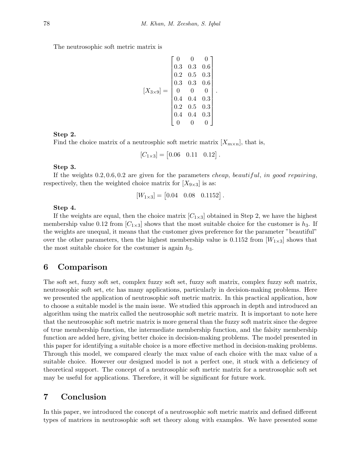The neutrosophic soft metric matrix is

$$
[X_{3\times9}] = \begin{bmatrix} 0 & 0 & 0 \\ 0.3 & 0.3 & 0.6 \\ 0.2 & 0.5 & 0.3 \\ 0.3 & 0.3 & 0.6 \\ 0 & 0 & 0 \\ 0.4 & 0.4 & 0.3 \\ 0.2 & 0.5 & 0.3 \\ 0.4 & 0.4 & 0.3 \\ 0 & 0 & 0 \end{bmatrix}.
$$

#### **Step 2.**

Find the choice matrix of a neutrosphic soft metric matrix  $[X_{m \times n}]$ , that is,

$$
[C_{1\times 3}] = [0.06 \quad 0.11 \quad 0.12].
$$

#### **Step 3.**

If the weights 0*.*2*,* 0*.*6*,* 0*.*2 are given for the parameters *cheap, beautiful, in good repairing*, respectively, then the weighted choice matrix for  $[X_{9\times3}]$  is as:

$$
[W_{1\times3}] = [0.04 \quad 0.08 \quad 0.1152]
$$

*.*

#### **Step 4.**

If the weights are equal, then the choice matrix  $[C_{1\times 3}]$  obtained in Step 2, we have the highest membership value 0.12 from  $[C_{1\times3}]$  shows that the most suitable choice for the customer is  $h_3$ . If the weights are unequal, it means that the customer gives preference for the parameter "beautiful" over the other parameters, then the highest membership value is  $0.1152$  from  $W_{1\times 3}$  shows that the most suitable choice for the costumer is again  $h_3$ .

### **6 Comparison**

The soft set, fuzzy soft set, complex fuzzy soft set, fuzzy soft matrix, complex fuzzy soft matrix, neutrosophic soft set, etc has many applications, particularly in decision-making problems. Here we presented the application of neutrosophic soft metric matrix. In this practical application, how to choose a suitable model is the main issue. We studied this approach in depth and introduced an algorithm using the matrix called the neutrosophic soft metric matrix. It is important to note here that the neutrosophic soft metric matrix is more general than the fuzzy soft matrix since the degree of true membership function, the intermediate membership function, and the falsity membership function are added here, giving better choice in decision-making problems. The model presented in this paper for identifying a suitable choice is a more effective method in decision-making problems. Through this model, we compared clearly the max value of each choice with the max value of a suitable choice. However our designed model is not a perfect one, it stuck with a deficiency of theoretical support. The concept of a neutrosophic soft metric matrix for a neutrosophic soft set may be useful for applications. Therefore, it will be significant for future work.

### **7 Conclusion**

In this paper, we introduced the concept of a neutrosophic soft metric matrix and defined different types of matrices in neutrosophic soft set theory along with examples. We have presented some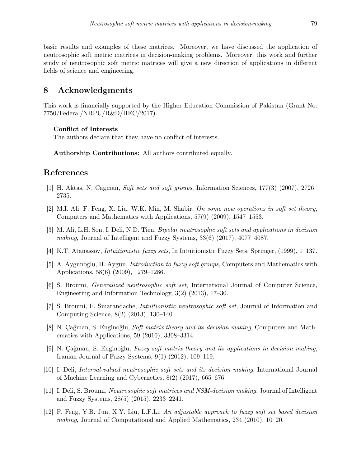basic results and examples of these matrices. Moreover, we have discussed the application of neutrosophic soft metric matrices in decision-making problems. Moreover, this work and further study of neutrosophic soft metric matrices will give a new direction of applications in different fields of science and engineering.

### **8 Acknowledgments**

This work is financially supported by the Higher Education Commission of Pakistan (Grant No: 7750/Federal/NRPU/R&D/HEC/2017).

#### **Conflict of Interests**

The authors declare that they have no conflict of interests.

**Authorship Contributions:** All authors contributed equally.

### **References**

- <span id="page-16-2"></span>[1] H. Aktas, N. Cagman, *Soft sets and soft groups*, Information Sciences, 177(3) (2007), 2726– 2735.
- <span id="page-16-1"></span>[2] M.I. Ali, F. Feng, X. Liu, W.K. Min, M. Shabir, *On some new operations in soft set theory*, Computers and Mathematics with Applications, 57(9) (2009), 1547–1553.
- <span id="page-16-9"></span>[3] M. Ali, L.H. Son, I. Deli, N.D. Tien, *Bipolar neutrosophic soft sets and applications in decision making*, Journal of Intelligent and Fuzzy Systems, 33(6) (2017), 4077–4087.
- <span id="page-16-0"></span>[4] K.T. Atanassov, *Intuitionistic fuzzy sets*, In Intuitionistic Fuzzy Sets, Springer, (1999), 1–137.
- <span id="page-16-4"></span>[5] A. Aygunoglu, H. Aygun, *Introduction to fuzzy soft groups*, Computers and Mathematics with Applications, 58(6) (2009), 1279–1286.
- <span id="page-16-5"></span>[6] S. Broumi, *Generalized neutrosophic soft set*, International Journal of Computer Science, Engineering and Information Technology, 3(2) (2013), 17–30.
- <span id="page-16-6"></span>[7] S. Broumi, F. Smarandache, *Intuitionistic neutrosophic soft set*, Journal of Information and Computing Science, 8(2) (2013), 130–140.
- <span id="page-16-10"></span>[8] N. Cağman, S. Enginoğlu, *Soft matrix theory and its decision making*, Computers and Mathematics with Applications, 59 (2010), 3308–3314.
- <span id="page-16-11"></span>[9] N. Cağman, S. Enginoğlu, *Fuzzy soft matrix theory and its applications in decision making*, Iranian Journal of Fuzzy Systems, 9(1) (2012), 109–119.
- <span id="page-16-7"></span>[10] I. Deli, *Interval-valued neutrosophic soft sets and its decision making*, International Journal of Machine Learning and Cybernetics, 8(2) (2017), 665–676.
- <span id="page-16-8"></span>[11] I. Deli, S. Broumi, *Neutrosophic soft matrices and NSM-decision making*, Journal of Intelligent and Fuzzy Systems, 28(5) (2015), 2233–2241.
- <span id="page-16-3"></span>[12] F. Feng, Y.B. Jun, X.Y. Liu, L.F.Li, *An adjustable approach to fuzzy soft set based decision making*, Journal of Computational and Applied Mathematics, 234 (2010), 10–20.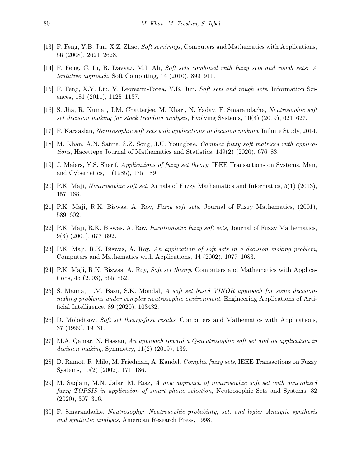- <span id="page-17-8"></span>[13] F. Feng, Y.B. Jun, X.Z. Zhao, *Soft semirings*, Computers and Mathematics with Applications, 56 (2008), 2621–2628.
- <span id="page-17-9"></span>[14] F. Feng, C. Li, B. Davvaz, M.I. Ali, *Soft sets combined with fuzzy sets and rough sets: A tentative approach*, Soft Computing, 14 (2010), 899–911.
- <span id="page-17-10"></span>[15] F. Feng, X.Y. Liu, V. Leoreanu-Fotea, Y.B. Jun, *Soft sets and rough sets*, Information Sciences, 181 (2011), 1125–1137.
- <span id="page-17-13"></span>[16] S. Jha, R. Kumar, J.M. Chatterjee, M. Khari, N. Yadav, F. Smarandache, *Neutrosophic soft set decision making for stock trending analysis*, Evolving Systems, 10(4) (2019), 621–627.
- <span id="page-17-12"></span>[17] F. Karaaslan, *Neutrosophic soft sets with applications in decision making*, Infinite Study, 2014.
- <span id="page-17-17"></span>[18] M. Khan, A.N. Saima, S.Z. Song, J.U. Youngbae, *Complex fuzzy soft matrices with applications*, Hacettepe Journal of Mathematics and Statistics, 149(2) (2020), 676–83.
- <span id="page-17-3"></span>[19] J. Maiers, Y.S. Sherif, *Applications of fuzzy set theory*, IEEE Transactions on Systems, Man, and Cybernetics, 1 (1985), 175–189.
- <span id="page-17-11"></span>[20] P.K. Maji, *Neutrosophic soft set*, Annals of Fuzzy Mathematics and Informatics, 5(1) (2013), 157–168.
- <span id="page-17-1"></span>[21] P.K. Maji, R.K. Biswas, A. Roy, *Fuzzy soft sets*, Journal of Fuzzy Mathematics, (2001), 589–602.
- <span id="page-17-2"></span>[22] P.K. Maji, R.K. Biswas, A. Roy, *Intuitionistic fuzzy soft sets*, Journal of Fuzzy Mathematics, 9(3) (2001), 677–692.
- <span id="page-17-6"></span>[23] P.K. Maji, R.K. Biswas, A. Roy, *An application of soft sets in a decision making problem*, Computers and Mathematics with Applications, 44 (2002), 1077–1083.
- <span id="page-17-7"></span>[24] P.K. Maji, R.K. Biswas, A. Roy, *Soft set theory*, Computers and Mathematics with Applications, 45 (2003), 555–562.
- <span id="page-17-16"></span>[25] S. Manna, T.M. Basu, S.K. Mondal, *A soft set based VIKOR approach for some decisionmaking problems under complex neutrosophic environment*, Engineering Applications of Artificial Intelligence, 89 (2020), 103432.
- <span id="page-17-5"></span>[26] D. Molodtsov, *Soft set theory-first results*, Computers and Mathematics with Applications, 37 (1999), 19–31.
- <span id="page-17-14"></span>[27] M.A. Qamar, N. Hassan, *An approach toward a Q-neutrosophic soft set and its application in decision making*, Symmetry, 11(2) (2019), 139.
- <span id="page-17-0"></span>[28] D. Ramot, R. Milo, M. Friedman, A. Kandel, *Complex fuzzy sets*, IEEE Transactions on Fuzzy Systems, 10(2) (2002), 171–186.
- <span id="page-17-15"></span>[29] M. Saqlain, M.N. Jafar, M. Riaz, *A new approach of neutrosophic soft set with generalized fuzzy TOPSIS in application of smart phone selection*, Neutrosophic Sets and Systems, 32 (2020), 307–316.
- <span id="page-17-4"></span>[30] F. Smarandache, *Neutrosophy: Neutrosophic probability, set, and logic: Analytic synthesis and synthetic analysis*, American Research Press, 1998.